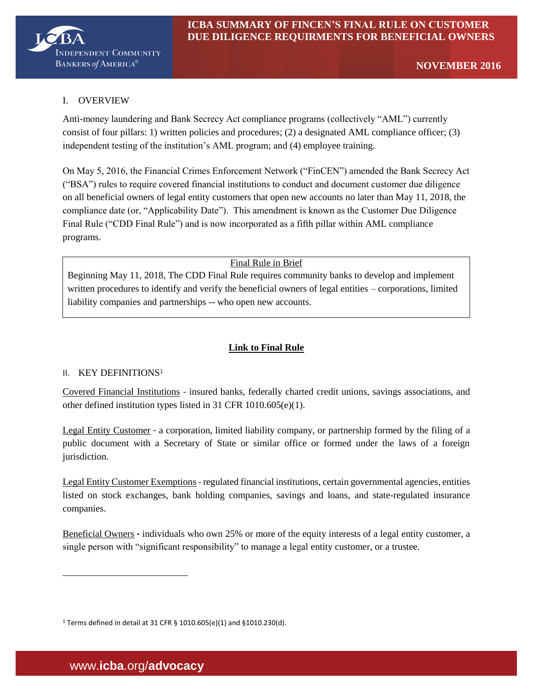

# I. OVERVIEW

Anti-money laundering and Bank Secrecy Act compliance programs (collectively "AML") currently consist of four pillars: 1) written policies and procedures; (2) a designated AML compliance officer; (3) independent testing of the institution's AML program; and (4) employee training.

On May 5, 2016, the Financial Crimes Enforcement Network ("FinCEN") amended the Bank Secrecy Act ("BSA") rules to require covered financial institutions to conduct and document customer due diligence on all beneficial owners of legal entity customers that open new accounts no later than May 11, 2018, the compliance date (or, "Applicability Date"). This amendment is known as the Customer Due Diligence Final Rule ("CDD Final Rule") and is now incorporated as a fifth pillar within AML compliance programs.

# Final Rule in Brief

Beginning May 11, 2018, The CDD Final Rule requires community banks to develop and implement written procedures to identify and verify the beneficial owners of legal entities – corporations, limited liability companies and partnerships -- who open new accounts.

# **[Link to Final Rule](http://www.ecfr.gov/cgi-bin/text-idx?SID=bdf6d186d724fb7f5cba7c6aed9f09a1&mc=true&node=pt31.3.1010&rgn=div5#se31.3.1010_1230)**

# II. KEY DEFINITIONS<sup>1</sup>

l

Covered Financial Institutions - insured banks, federally charted credit unions, savings associations, and other defined institution types listed in 31 CFR 1010.605(e)(1).

Legal Entity Customer - a corporation, limited liability company, or partnership formed by the filing of a public document with a Secretary of State or similar office or formed under the laws of a foreign jurisdiction.

Legal Entity Customer Exemptions - regulated financial institutions, certain governmental agencies, entities listed on stock exchanges, bank holding companies, savings and loans, and state-regulated insurance companies.

Beneficial Owners **-** individuals who own 25% or more of the equity interests of a legal entity customer, a single person with "significant responsibility" to manage a legal entity customer, or a trustee.

<sup>1</sup> Terms defined in detail at 31 CFR § 1010.605(e)(1) and §1010.230(d).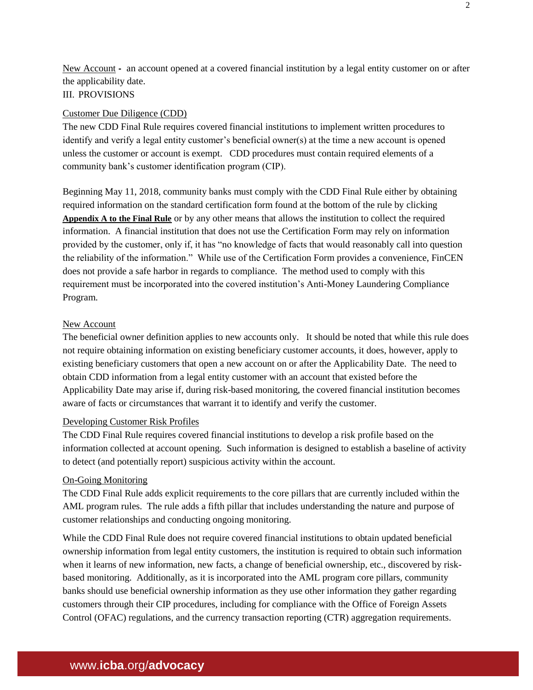New Account **-** an account opened at a covered financial institution by a legal entity customer on or after the applicability date.

# III. PROVISIONS

## Customer Due Diligence (CDD)

The new CDD Final Rule requires covered financial institutions to implement written procedures to identify and verify a legal entity customer's beneficial owner(s) at the time a new account is opened unless the customer or account is exempt. CDD procedures must contain required elements of a community bank's customer identification program (CIP).

Beginning May 11, 2018, community banks must comply with the CDD Final Rule either by obtaining required information on the standard certification form found at the bottom of the rule by clicking **[Appendix A to the Final Rule](http://www.ecfr.gov/cgi-bin/text-idx?SID=bdf6d186d724fb7f5cba7c6aed9f09a1&mc=true&node=pt31.3.1010&rgn=div5#se31.3.1010_1230)** or by any other means that allows the institution to collect the required information. A financial institution that does not use the Certification Form may rely on information provided by the customer, only if, it has "no knowledge of facts that would reasonably call into question the reliability of the information." While use of the Certification Form provides a convenience, FinCEN does not provide a safe harbor in regards to compliance. The method used to comply with this requirement must be incorporated into the covered institution's Anti-Money Laundering Compliance Program.

#### New Account

The beneficial owner definition applies to new accounts only. It should be noted that while this rule does not require obtaining information on existing beneficiary customer accounts, it does, however, apply to existing beneficiary customers that open a new account on or after the Applicability Date. The need to obtain CDD information from a legal entity customer with an account that existed before the Applicability Date may arise if, during risk-based monitoring, the covered financial institution becomes aware of facts or circumstances that warrant it to identify and verify the customer.

#### Developing Customer Risk Profiles

The CDD Final Rule requires covered financial institutions to develop a risk profile based on the information collected at account opening. Such information is designed to establish a baseline of activity to detect (and potentially report) suspicious activity within the account.

## On-Going Monitoring

The CDD Final Rule adds explicit requirements to the core pillars that are currently included within the AML program rules. The rule adds a fifth pillar that includes understanding the nature and purpose of customer relationships and conducting ongoing monitoring.

While the CDD Final Rule does not require covered financial institutions to obtain updated beneficial ownership information from legal entity customers, the institution is required to obtain such information when it learns of new information, new facts, a change of beneficial ownership, etc., discovered by riskbased monitoring. Additionally, as it is incorporated into the AML program core pillars, community banks should use beneficial ownership information as they use other information they gather regarding customers through their CIP procedures, including for compliance with the Office of Foreign Assets Control (OFAC) regulations, and the currency transaction reporting (CTR) aggregation requirements.

# www.**icba**.org/**[advocacy](http://www.icba.org/advocacy) 2**